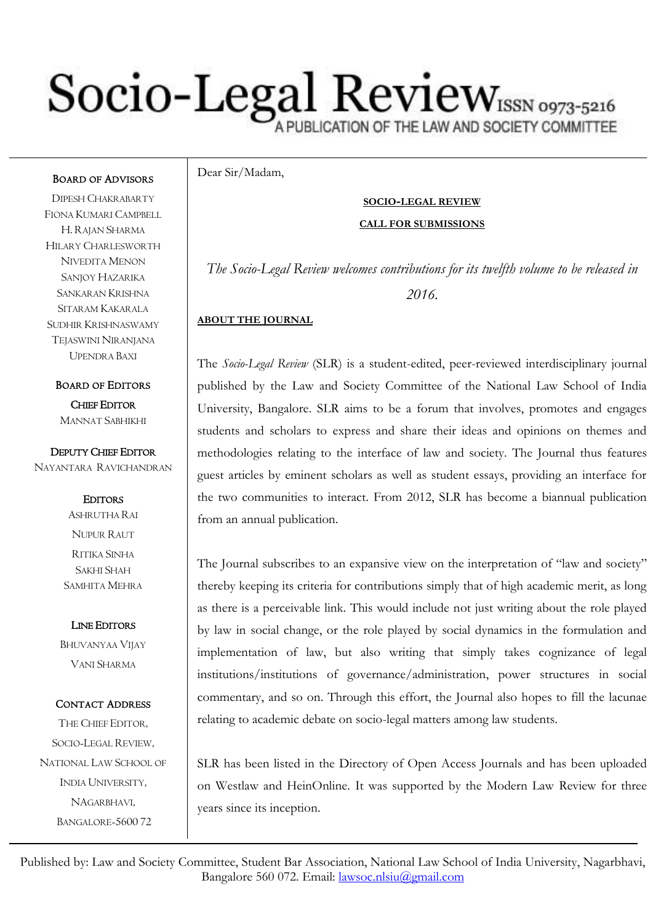# Socio-Legal Review AND SOCIETY COMMITTEE

Dear Sir/Madam,

#### **SOCIO-LEGAL REVIEW**

#### **CALL FOR SUBMISSIONS**

*The Socio-Legal Review welcomes contributions for its twelfth volume to be released in 2016.*

#### **ABOUT THE JOURNAL**

The *Socio-Legal Review* (SLR) is a student-edited, peer-reviewed interdisciplinary journal published by the Law and Society Committee of the National Law School of India University, Bangalore. SLR aims to be a forum that involves, promotes and engages students and scholars to express and share their ideas and opinions on themes and methodologies relating to the interface of law and society. The Journal thus features guest articles by eminent scholars as well as student essays, providing an interface for the two communities to interact. From 2012, SLR has become a biannual publication from an annual publication.

The Journal subscribes to an expansive view on the interpretation of "law and society" thereby keeping its criteria for contributions simply that of high academic merit, as long as there is a perceivable link. This would include not just writing about the role played by law in social change, or the role played by social dynamics in the formulation and implementation of law, but also writing that simply takes cognizance of legal institutions/institutions of governance/administration, power structures in social commentary, and so on. Through this effort, the Journal also hopes to fill the lacunae relating to academic debate on socio-legal matters among law students.

SLR has been listed in the Directory of Open Access Journals and has been uploaded on Westlaw and HeinOnline. It was supported by the Modern Law Review for three years since its inception.

Published by: Law and Society Committee, Student Bar Association, National Law School of India University, Nagarbhavi, Bangalore 560 072. Email: lawsoc.nlsiu@gmail.com EMAIL: [slr@nls.ac.in](mailto:slr@nls.ac.in)

#### BOARD OF ADVISORS

DIPESH CHAKRABARTY FIONA KUMARI CAMPBELL H. RAJAN SHARMA HILARY CHARLESWORTH NIVEDITA MENON SANJOY HAZARIKA SANKARAN KRISHNA SITARAM KAKARALA SUDHIR KRISHNASWAMY TEJASWINI NIRANJANA UPENDRA BAXI

BOARD OF EDITORS CHIEF EDITOR MANNAT SABHIKHI

DEPUTY CHIEF EDITOR NAYANTARA RAVICHANDRAN

> **EDITORS** ASHRUTHA RAI NUPUR RAUT RITIKA SINHA SAKHI SHAH SAMHITA MEHRA

LINE EDITORS

BHUVANYAA VIJAY VANI SHARMA

#### CONTACT ADDRESS

THE CHIEF EDITOR, SOCIO-LEGAL REVIEW, NATIONAL LAW SCHOOL OF INDIA UNIVERSITY, NAGARBHAVI, BANGALORE-5600 72